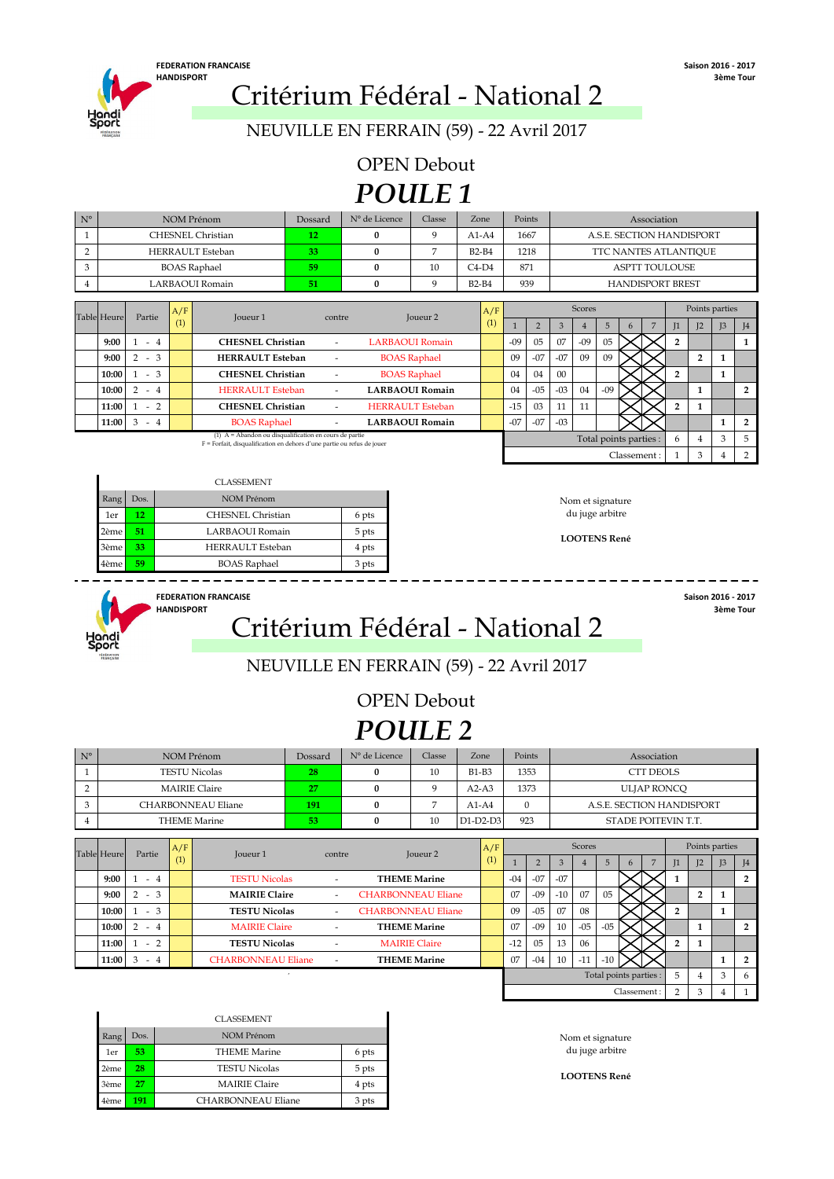

NEUVILLE EN FERRAIN (59) - 22 Avril 2017

OPEN Debout *POULE 1*

| $N^{\circ}$    |                                          |                      |     | <b>NOM Prénom</b>                                                                                                                  | Dossard                  | N° de Licence | Classe                  | Zone         | Points |                |       |               |                           |             | Association             |                |                |                |                |
|----------------|------------------------------------------|----------------------|-----|------------------------------------------------------------------------------------------------------------------------------------|--------------------------|---------------|-------------------------|--------------|--------|----------------|-------|---------------|---------------------------|-------------|-------------------------|----------------|----------------|----------------|----------------|
| $\overline{1}$ |                                          |                      |     | <b>CHESNEL Christian</b>                                                                                                           | 12                       | $\mathbf{0}$  | 9                       | $A1-A4$      |        | 1667           |       |               | A.S.E. SECTION HANDISPORT |             |                         |                |                |                |                |
| $\overline{2}$ |                                          |                      |     | <b>HERRAULT</b> Esteban                                                                                                            | 33                       | $\mathbf{0}$  | 7                       | <b>B2-B4</b> |        | 1218           |       |               | TTC NANTES ATLANTIQUE     |             |                         |                |                |                |                |
| 3              |                                          |                      |     | <b>BOAS</b> Raphael                                                                                                                | 59                       | $\mathbf{0}$  | 10                      | $C4-D4$      | 871    |                |       |               |                           |             | <b>ASPTT TOULOUSE</b>   |                |                |                |                |
| 4              |                                          |                      |     | LARBAOUI Romain                                                                                                                    | 51                       | $\bf{0}$      | 9                       | $B2-B4$      |        | 939            |       |               |                           |             | <b>HANDISPORT BREST</b> |                |                |                |                |
|                |                                          |                      |     |                                                                                                                                    |                          |               |                         |              |        |                |       |               |                           |             |                         |                |                |                |                |
|                | <b>Table</b> Heure                       | Partie               | A/F | Joueur <sub>1</sub>                                                                                                                | contre                   |               | Joueur <sub>2</sub>     | A/F          |        |                |       | <b>Scores</b> |                           |             |                         |                | Points parties |                |                |
|                |                                          | (1)                  |     |                                                                                                                                    |                          |               |                         | (1)          |        | $\overline{2}$ | 3     |               | 5                         | 6           | $\overline{7}$          | $\mathbb{I}$   | I <sub>2</sub> | J <sub>3</sub> | J <sub>4</sub> |
|                | <b>CHESNEL Christian</b><br>9:00<br>$-4$ |                      |     |                                                                                                                                    |                          |               | <b>LARBAOUI Romain</b>  |              | $-09$  | 05             | 07    | $-09$         | 05                        |             |                         | $\overline{2}$ |                |                | 1              |
|                | 9:00                                     | $2 - 3$              |     | <b>HERRAULT Esteban</b>                                                                                                            |                          |               | <b>BOAS</b> Raphael     |              | 09     | $-07$          | $-07$ | 09            | 09                        |             |                         |                | $\overline{2}$ | 1              |                |
|                | 10:00                                    | $-3$<br>$\mathbf{1}$ |     | <b>CHESNEL Christian</b>                                                                                                           |                          |               | <b>BOAS</b> Raphael     |              | 04     | 04             | 00    |               |                           |             |                         | $\overline{2}$ |                | 1              |                |
|                | 10:00                                    | 2<br>$-4$            |     | <b>HERRAULT</b> Esteban                                                                                                            | $\overline{\phantom{a}}$ |               | <b>LARBAOUI Romain</b>  |              | 04     | $-05$          | $-03$ | 04            | $-09$                     |             |                         |                | $\mathbf{1}$   |                | $\overline{2}$ |
|                | 11:00                                    | $-2$                 |     | <b>CHESNEL Christian</b>                                                                                                           | $\overline{\phantom{a}}$ |               | <b>HERRAULT Esteban</b> |              | $-15$  | 03             | 11    | 11            |                           |             |                         | $\overline{2}$ | $\mathbf{1}$   |                |                |
|                | 11:00<br>3<br>$\overline{4}$<br>$\sim$   |                      |     | <b>BOAS Raphael</b>                                                                                                                |                          |               | <b>LARBAOUI Romain</b>  |              | $-07$  | $-07$          | $-03$ |               |                           |             |                         |                |                | 1              | $\overline{2}$ |
|                |                                          |                      |     | (1) $A =$ Abandon ou disqualification en cours de partie<br>F = Forfait, disqualification en dehors d'une partie ou refus de jouer |                          |               |                         |              |        |                |       |               | Total points parties :    |             |                         | 6              | 4              | 3              | 5              |
|                |                                          |                      |     |                                                                                                                                    |                          |               |                         |              |        |                |       |               |                           | Classement: |                         |                | 3              | 4              | 2              |

|      |      | <b>CLASSEMENT</b>       |       |
|------|------|-------------------------|-------|
| Rang | Dos. | NOM Prénom              |       |
| 1er  | 12   | CHESNEL Christian       | 6 pts |
| 2ème | 51   | LARBAOUI Romain         | 5 pts |
| 3ème | 33   | <b>HERRAULT</b> Esteban | 4 pts |
| 4ème | 59   | <b>BOAS</b> Raphael     | 3 pts |



**FEDERATION FRANCAISE** Saison 2016 - 2017<br>HANDISPORT 3ème Tour HANDISPORT **Critérium Fédéral - National 2** 

#### NEUVILLE EN FERRAIN (59) - 22 Avril 2017

OPEN Debout *POULE 2*

| $N^{\circ}$ | NOM Prénom           | Dossard | N° de Licence | Classe | Zone         | Points | Association               |
|-------------|----------------------|---------|---------------|--------|--------------|--------|---------------------------|
|             | <b>TESTU Nicolas</b> | 28      |               | 10     | <b>B1-B3</b> | 1353   | CTT DEOLS                 |
|             | <b>MAIRIE Claire</b> | 27      |               |        | $A2-A3$      | 1373   | ULJAP RONCO               |
|             | CHARBONNEAU Eliane   | 191     |               |        | $A1-A4$      |        | A.S.E. SECTION HANDISPORT |
|             | <b>THEME Marine</b>  | 53      |               | 10     | $D1-D2-D3$   | 923    | STADE POITEVIN T.T.       |

| Table Heure | Partie    | A/F               |                           |                          |                           | A/F |       |       |       | <b>Scores</b> |                        |              |              | Points parties |                |                |
|-------------|-----------|-------------------|---------------------------|--------------------------|---------------------------|-----|-------|-------|-------|---------------|------------------------|--------------|--------------|----------------|----------------|----------------|
|             |           | $\left( 1\right)$ | Joueur 1                  | contre                   | Joueur <sub>2</sub>       | (1) |       |       |       |               | 5                      |              | L            | 12             | I <sub>3</sub> | J <sub>4</sub> |
| 9:00        | $-4$      |                   | <b>TESTU Nicolas</b>      | $\overline{\phantom{a}}$ | <b>THEME Marine</b>       |     | $-04$ | $-07$ | $-07$ |               |                        |              |              |                |                | $\overline{2}$ |
| 9:00        | $-3$      |                   | <b>MAIRIE Claire</b>      | $\overline{a}$           | <b>CHARBONNEAU Eliane</b> |     | 07    | $-09$ | $-10$ | 07            | 05                     |              |              | $\cdot$        |                |                |
| 10:00       | $-3$      |                   | <b>TESTU Nicolas</b>      | $\overline{\phantom{a}}$ | <b>CHARBONNEAU Eliane</b> |     | 09    | $-05$ | 07    | 08            |                        |              | C.           |                |                |                |
| 10:00       | $-4$      |                   | <b>MAIRIE Claire</b>      | ٠                        | <b>THEME Marine</b>       |     | 07    | $-09$ | 10    | $-05$         | $-05$                  |              |              |                |                | $\overline{2}$ |
| 11:00       | $-2$      |                   | <b>TESTU Nicolas</b>      | $\overline{\phantom{a}}$ | <b>MAIRIE Claire</b>      |     | $-12$ | 05    | 13    | 06            |                        |              | <sup>o</sup> |                |                |                |
| 11:00       | 3<br>$-4$ |                   | <b>CHARBONNEAU Eliane</b> | $\overline{\phantom{a}}$ | <b>THEME Marine</b>       |     | 07    | $-04$ | 10    | $-11$         | $-10$                  |              |              |                |                | $\overline{2}$ |
|             |           |                   |                           |                          |                           |     |       |       |       |               | Total points parties : |              | 5            | 4              | 3              | 6              |
|             |           |                   |                           |                          |                           |     |       |       |       |               |                        | Classement : | ↑            | 3              |                |                |

|      |                 | <b>CLASSEMENT</b>    |       |
|------|-----------------|----------------------|-------|
| Rang | Dos.            | NOM Prénom           |       |
| 1er  | 53              | THEME Marine         | 6 pts |
| 2ème | 28 <sup>1</sup> | <b>TESTU Nicolas</b> | 5 pts |
| 3ème | 27              | <b>MAIRIE Claire</b> | 4 pts |
| 4ème | 191             | CHARBONNEAU Eliane   | 3 pts |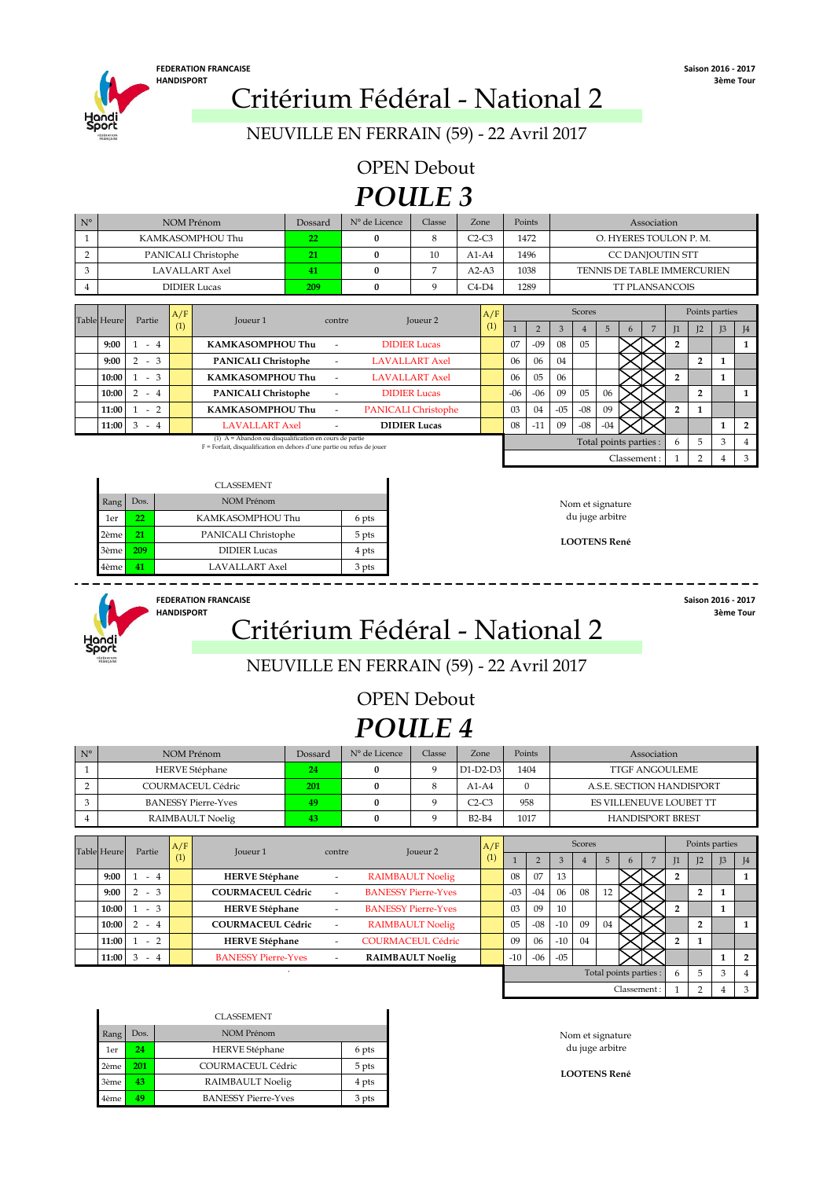# HANDISPORT **Critérium Fédéral - National 2**

NEUVILLE EN FERRAIN (59) - 22 Avril 2017

*POULE 3* OPEN Debout

| $N^{\circ}$    |                    |                         |            | NOM Prénom                                                                                                                         | Dossard                  | N° de Licence | Classe                                                     |                | Zone       | Points<br>Association         |                |               |                 |                |                        |                        |                             |                |                |                |
|----------------|--------------------|-------------------------|------------|------------------------------------------------------------------------------------------------------------------------------------|--------------------------|---------------|------------------------------------------------------------|----------------|------------|-------------------------------|----------------|---------------|-----------------|----------------|------------------------|------------------------|-----------------------------|----------------|----------------|----------------|
| $\mathbf{1}$   |                    |                         |            | KAMKASOMPHOU Thu                                                                                                                   | 22                       | 0             | 8                                                          |                | $C2-C3$    |                               | 1472           |               |                 |                |                        | O. HYERES TOULON P. M. |                             |                |                |                |
| $\overline{2}$ |                    |                         |            | PANICALI Christophe                                                                                                                | 21                       | 0             | 10                                                         |                | $A1-A4$    |                               | 1496           |               |                 |                |                        | CC DANJOUTIN STT       |                             |                |                |                |
| 3              |                    |                         |            | <b>LAVALLART</b> Axel                                                                                                              | 41                       | $\mathbf{0}$  | 7                                                          |                | $A2-A3$    |                               | 1038           |               |                 |                |                        |                        | TENNIS DE TABLE IMMERCURIEN |                |                |                |
| 4              |                    |                         |            | <b>DIDIER Lucas</b>                                                                                                                | 209                      | 0             | 9                                                          |                | $C4-D4$    | 1289<br><b>TT PLANSANCOIS</b> |                |               |                 |                |                        |                        |                             |                |                |                |
|                |                    |                         |            |                                                                                                                                    |                          |               |                                                            |                |            |                               |                | <b>Scores</b> |                 |                |                        |                        |                             | Points parties |                |                |
|                | <b>Table Heure</b> | Partie                  | A/F<br>(1) | <b>Joueur 1</b>                                                                                                                    | contre                   |               | <b>Joueur 2</b>                                            |                | A/F<br>(1) |                               | $\overline{2}$ | 3             |                 | 5              |                        | $\overline{7}$         |                             |                |                |                |
|                | 9:00               |                         |            |                                                                                                                                    |                          |               |                                                            |                |            |                               |                |               | $\overline{4}$  |                | 6                      |                        | $_{11}$                     | I <sub>2</sub> | I <sub>3</sub> | J4             |
|                |                    | $1 - 4$                 |            | <b>KAMKASOMPHOU Thu</b>                                                                                                            |                          |               | 07<br>$-09$<br>08<br><b>DIDIER Lucas</b><br>0 <sub>5</sub> |                |            |                               |                |               | $\overline{2}$  |                |                        | 1                      |                             |                |                |                |
|                | 9:00               | 3<br>$2 -$              |            | <b>PANICALI Christophe</b>                                                                                                         | $\overline{\phantom{a}}$ |               | <b>LAVALLART Axel</b>                                      | 04<br>06<br>06 |            |                               |                |               |                 | $\overline{2}$ | 1                      |                        |                             |                |                |                |
|                | 10:00              | $1 - 3$                 |            | KAMKASOMPHOU Thu                                                                                                                   | ٠                        |               | <b>LAVALLART Axel</b>                                      | 05<br>06<br>06 |            |                               |                |               | $\overline{2}$  |                | 1                      |                        |                             |                |                |                |
|                | 10:00              | $2 - 4$                 |            | <b>PANICALI Christophe</b>                                                                                                         | ٠                        |               | <b>DIDIER Lucas</b>                                        |                |            | $-06$                         | $-06$          | 09            | 05              | 06             |                        |                        |                             | $\overline{2}$ |                | 1              |
|                | 11:00              | $\overline{2}$<br>$1 -$ |            | <b>KAMKASOMPHOU Thu</b>                                                                                                            | $\overline{\phantom{a}}$ |               | PANICALI Christophe                                        |                |            | 03                            | 04             | $-05$         | $-08$           | 09             |                        |                        | $\overline{2}$              | 1              |                |                |
|                | 11:00              | $3 -$<br>$\overline{4}$ |            | <b>LAVALLART Axel</b>                                                                                                              | ٠                        |               | <b>DIDIER Lucas</b>                                        |                |            | 08                            | $-11$          | 09            | $-08$           | $-04$          |                        |                        |                             |                |                | $\overline{2}$ |
|                |                    |                         |            | $(1)$ A = Abandon ou disqualification en cours de partie<br>F = Forfait, disqualification en dehors d'une partie ou refus de jouer |                          |               |                                                            |                |            |                               |                |               |                 |                | Total points parties : |                        | 6                           | 5              | 3              | 4              |
|                |                    |                         |            |                                                                                                                                    |                          |               |                                                            |                |            |                               |                |               |                 |                | Classement:            |                        |                             | 2              | 4              | 3              |
|                |                    |                         |            |                                                                                                                                    |                          |               |                                                            |                |            |                               |                |               |                 |                |                        |                        |                             |                |                |                |
|                |                    |                         |            | <b>CLASSEMENT</b>                                                                                                                  |                          |               |                                                            |                |            |                               |                |               |                 |                |                        |                        |                             |                |                |                |
|                | Rang               | Dos.                    |            | <b>NOM Prénom</b>                                                                                                                  |                          |               | Nom et signature                                           |                |            |                               |                |               |                 |                |                        |                        |                             |                |                |                |
|                | 1er                | 22                      |            | KAMKASOMPHOU Thu                                                                                                                   |                          | 6 pts         |                                                            |                |            |                               |                |               | du juge arbitre |                |                        |                        |                             |                |                |                |
|                | 2ème               | 21                      |            | PANICALI Christophe                                                                                                                |                          | 5 pts         | -----------                                                |                |            |                               |                |               |                 |                |                        |                        |                             |                |                |                |

**LOOTENS René**



3ème 4ème

## HANDISPORT **Critérium Fédéral - National 2**

### NEUVILLE EN FERRAIN (59) - 22 Avril 2017

**FEDERATION FRANCAISE Saison 2016 - 2017** 

*POULE 4* OPEN Debout

| $N^{\circ}$ | NOM Prénom                 | Dossard | N° de Licence | Classe | Zone       | Points | Association               |
|-------------|----------------------------|---------|---------------|--------|------------|--------|---------------------------|
|             | <b>HERVE Stéphane</b>      | 24      |               |        | $D1-D2-D3$ | 1404   | TTGF ANGOULEME            |
|             | COURMACEUL Cédric          | 201     |               |        | $A1-A4$    |        | A.S.E. SECTION HANDISPORT |
|             | <b>BANESSY Pierre-Yves</b> | 49      |               |        | $C2-C3$    | 958    | ES VILLENEUVE LOUBET TT   |
|             | RAIMBAULT Noelig           | 43      |               |        | $B2-B4$    | 1017   | <b>HANDISPORT BREST</b>   |

| <b>Table Heure</b> | Partie    | A/F<br>Joueur 1 |                            | A/F<br>Joueur <sub>2</sub><br>contre |                            |                  |       |       | <b>Scores</b> |    |                        |              |  |    |                | Points parties |                |  |  |
|--------------------|-----------|-----------------|----------------------------|--------------------------------------|----------------------------|------------------|-------|-------|---------------|----|------------------------|--------------|--|----|----------------|----------------|----------------|--|--|
|                    |           | (1)             |                            |                                      |                            | $\left(1\right)$ |       |       |               |    | 5                      | <sub>t</sub> |  | 1  | I <sup>2</sup> | I <sub>3</sub> | I <sub>4</sub> |  |  |
| 9:00               | $-4$      |                 | <b>HERVE Stéphane</b>      | $\overline{\phantom{a}}$             | <b>RAIMBAULT Noelig</b>    |                  | 08    | 07    | 13            |    |                        |              |  |    |                |                |                |  |  |
| 9:00               | $-3$      |                 | <b>COURMACEUL Cédric</b>   | $\overline{\phantom{a}}$             | <b>BANESSY Pierre-Yves</b> |                  | $-03$ | $-04$ | 06            | 08 | 12                     |              |  |    | ∍              |                |                |  |  |
| 10:00              | $-3$      |                 | <b>HERVE Stéphane</b>      | $\overline{\phantom{a}}$             | <b>BANESSY Pierre-Yves</b> |                  | 03    | 09    | 10            |    |                        |              |  |    |                |                |                |  |  |
| 10:00              | $2 - 4$   |                 | <b>COURMACEUL Cédric</b>   |                                      | <b>RAIMBAULT Noelig</b>    |                  | 05    | $-08$ | $-10$         | 09 | 04                     |              |  |    | ŋ              |                |                |  |  |
| 11:00              | $-2$      |                 | <b>HERVE Stéphane</b>      | $\overline{\phantom{a}}$             | <b>COURMACEUL Cédric</b>   |                  | 09    | 06    | $-10$         | 04 |                        |              |  |    |                |                |                |  |  |
| 11:00              | $-4$<br>3 |                 | <b>BANESSY Pierre-Yves</b> | $\overline{\phantom{a}}$             | <b>RAIMBAULT Noelig</b>    |                  | $-10$ | $-06$ | $-05$         |    |                        |              |  |    |                |                | $\overline{2}$ |  |  |
|                    |           |                 |                            |                                      |                            |                  |       |       |               |    | Total points parties : |              |  | 6. | 5              | 3              | 4              |  |  |
|                    |           |                 |                            |                                      |                            |                  |       |       |               |    |                        | Classement:  |  |    | C              |                | 3              |  |  |

|      | <b>CLASSEMENT</b> |                            |       |  |  |  |  |
|------|-------------------|----------------------------|-------|--|--|--|--|
| Rang | Dos.              | NOM Prénom                 |       |  |  |  |  |
| 1er  | 24                | <b>HERVE Stéphane</b>      | 6 pts |  |  |  |  |
| 2ème | 201               | COURMACEUL Cédric          | 5 pts |  |  |  |  |
| 3ème | 43                | RAIMBAULT Noelig           | 4 pts |  |  |  |  |
| 4ème | 49                | <b>BANESSY Pierre-Yves</b> | 3 pts |  |  |  |  |

**41** LAVALLART Axel 3 pts **209** DIDIER Lucas 4 pts

 $-$ 

 $-$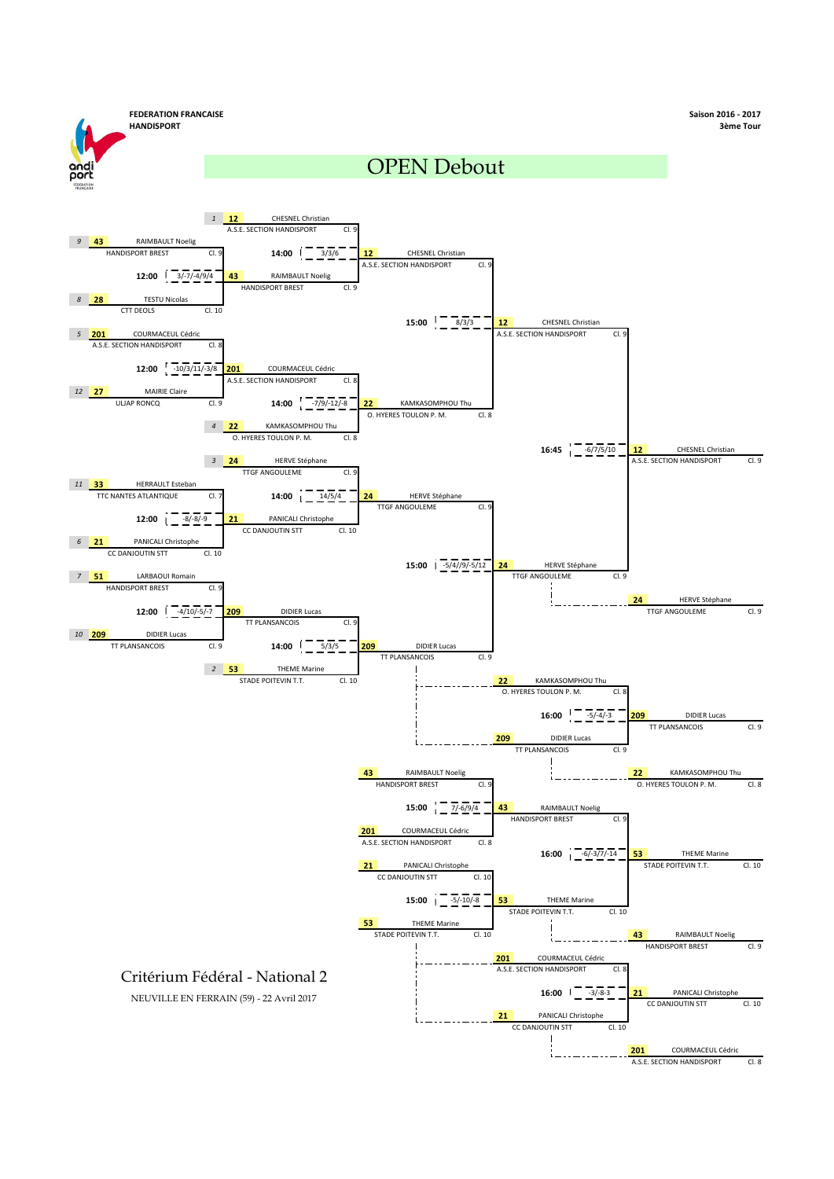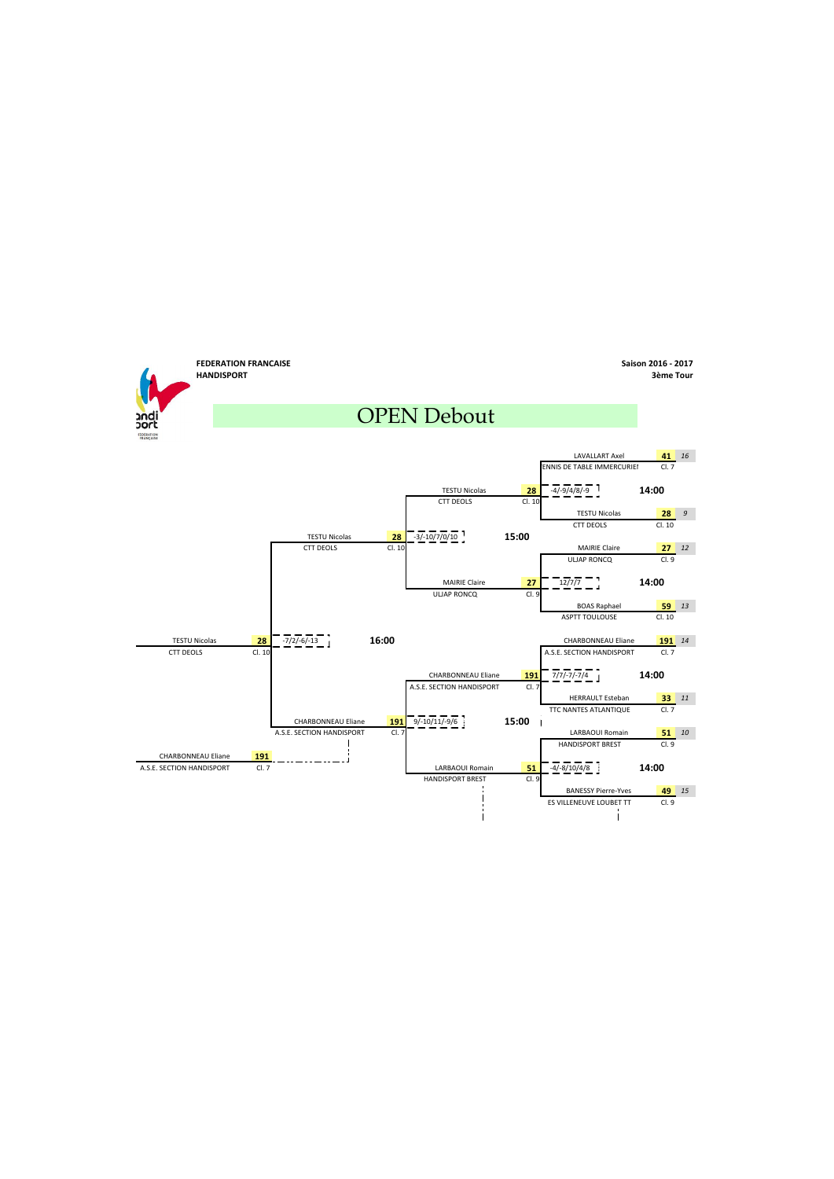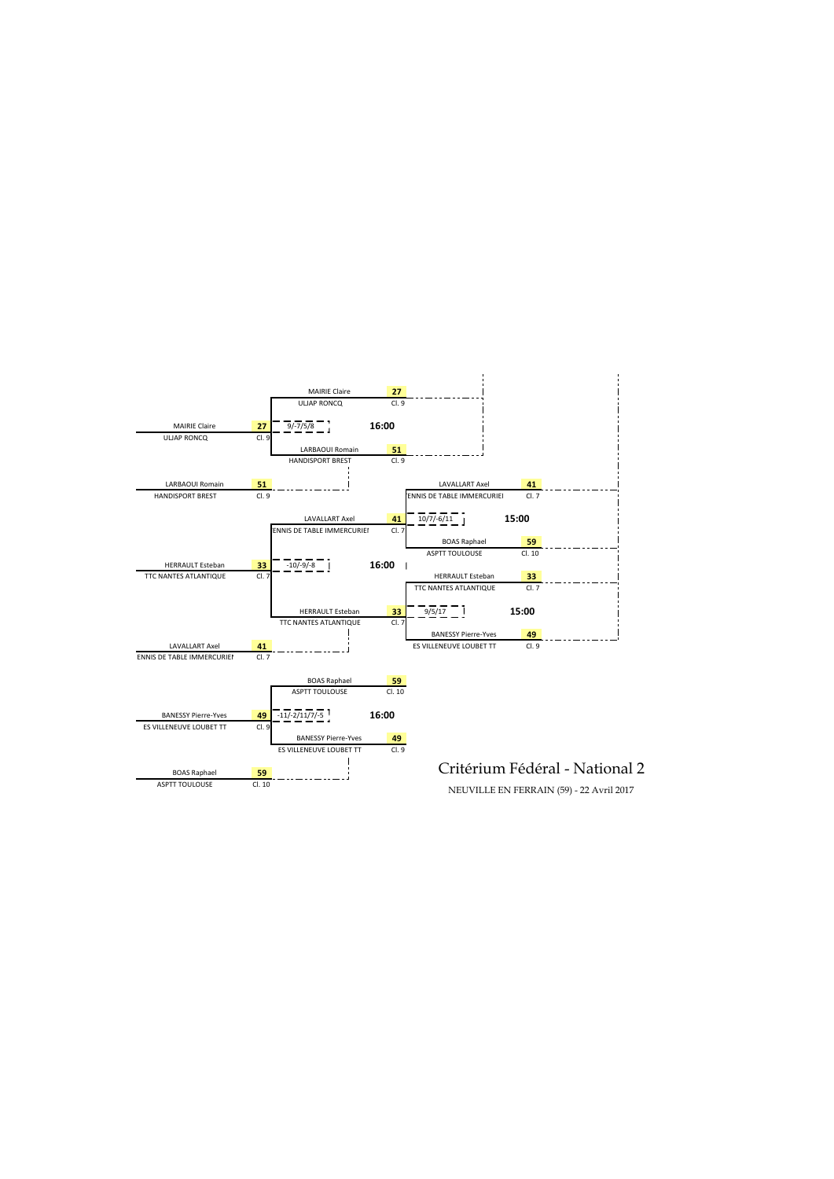